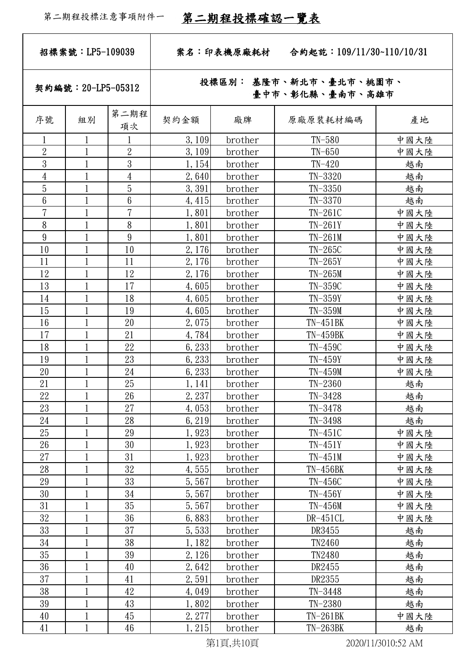| 招標案號: LP5-109039 |                    | 合約起訖: 109/11/30~110/10/31<br>案名:印表機原廠耗材 |                                           |         |               |           |  |
|------------------|--------------------|-----------------------------------------|-------------------------------------------|---------|---------------|-----------|--|
|                  | 契約編號: 20-LP5-05312 |                                         | 投標區別: 基隆市、新北市、臺北市、桃園市、<br>臺中市、彰化縣、臺南市、高雄市 |         |               |           |  |
| 序號               | 組別                 | 第二期程<br>項次                              | 契約金額                                      | 廠牌      | 原廠原裝耗材編碼      | 產地        |  |
|                  |                    |                                         | 3,109                                     | brother | $TN-580$      | 中國大陸      |  |
| $\overline{2}$   | $\mathbf 1$        | $\sqrt{2}$                              | 3,109                                     | brother | $TN-650$      | 中國大陸      |  |
| $\overline{3}$   |                    | $\mathfrak{Z}$                          | 1, 154                                    | brother | $TN-420$      | 越南        |  |
| $\overline{4}$   | $\mathbf{1}$       | $\overline{4}$                          | 2,640                                     | brother | $TN-3320$     | 越南        |  |
| $\overline{5}$   | 1                  | $\overline{5}$                          | 3,391                                     | brother | $TN-3350$     | 越南        |  |
| $6\phantom{.0}$  |                    | $6\phantom{.0}$                         | 4, 415                                    | brother | $TN-3370$     | 越南        |  |
| $\overline{7}$   | $\mathbf{1}$       | $\overline{7}$                          | 1,801                                     | brother | $TN-261C$     | 中國大陸      |  |
| 8                |                    | 8                                       | 1,801                                     | brother | $TN-261Y$     | 中國大陸      |  |
| 9                | 1                  | 9                                       | 1,801                                     | brother | $TN-261M$     | 中國大陸      |  |
| 10               | 1                  | 10                                      | 2,176                                     | brother | $TN-265C$     | 中國大陸      |  |
| 11               |                    | 11                                      | 2, 176                                    | brother | $TN-265Y$     | 中國大陸      |  |
| 12               |                    | 12                                      | 2, 176                                    | brother | $TN-265M$     | 中國大陸      |  |
| 13               |                    | 17                                      | 4,605                                     | brother | $TN-359C$     | 中國大陸      |  |
| 14               | $\mathbf{1}$       | 18                                      | 4,605                                     | brother | $TN-359Y$     | 中國大陸      |  |
| 15               |                    | 19                                      | 4,605                                     | brother | $TN-359M$     | 中國大陸      |  |
| 16               |                    | 20                                      | 2,075                                     | brother | $TN-451BK$    | 中國大陸      |  |
| 17               | 1                  | 21                                      | 4,784                                     | brother | $TN-459BK$    | 中國大陸      |  |
| 18               |                    | 22                                      | 6,233                                     | brother | $TN-459C$     | 中國大陸      |  |
| 19               | 1                  | 23                                      | 6,233                                     | brother | $TN-459Y$     | 中國大陸      |  |
| 20               | 1                  | 24                                      | 6,233                                     | brother | $TN-459M$     | 中國大陸      |  |
| 21               | 1                  | $25\,$                                  | 1,141                                     | brother | $TN-2360$     | <u>越南</u> |  |
| 22               |                    | 26                                      | 2,237                                     | brother | $TN-3428$     | 越南        |  |
| 23               |                    | 27                                      | 4,053                                     | brother | $TN-3478$     | 越南        |  |
| $24\,$           |                    | 28                                      | 6, 219                                    | brother | $TN-3498$     | 越南        |  |
| 25               |                    | 29                                      | 1,923                                     | brother | $TN-451C$     | 中國大陸      |  |
| 26               |                    | 30                                      | 1,923                                     | brother | $TN-451Y$     | 中國大陸      |  |
| $27\,$           |                    | 31                                      | 1,923                                     | brother | $TN-451M$     | 中國大陸      |  |
| 28               |                    | 32                                      | 4,555                                     | brother | $TN-456BK$    | 中國大陸      |  |
| 29               |                    | 33                                      | 5,567                                     | brother | $TN-456C$     | 中國大陸      |  |
| 30               |                    | 34                                      | 5,567                                     | brother | $TN-456Y$     | 中國大陸      |  |
| 31               |                    | 35                                      | 5,567                                     | brother | $TN-456M$     | 中國大陸      |  |
| 32               |                    | 36                                      | 6,883                                     | brother | $DR-451CL$    | 中國大陸      |  |
| 33               |                    | 37                                      | 5,533                                     | brother | DR3455        | 越南        |  |
| $34\,$           |                    | 38                                      | 1,182                                     | brother | <b>TN2460</b> | 越南        |  |
| 35               |                    | 39                                      | 2,126                                     | brother | <b>TN2480</b> | 越南        |  |
| 36               |                    | 40                                      | 2,642                                     | brother | DR2455        | 越南        |  |
| 37               |                    | 41                                      | 2,591                                     | brother | DR2355        | 越南        |  |
| 38               |                    | 42                                      | 4,049                                     | brother | $TN - 3448$   | 越南        |  |
| 39               | $\mathbf{1}$       | 43                                      | 1,802                                     | brother | $TN-2380$     | 越南        |  |
| 40               |                    | 45                                      | 2, 277                                    | brother | $TN-261BK$    | 中國大陸      |  |
| 41               |                    | 46                                      | 1, 215                                    | brother | $TN-263BK$    | 越南        |  |

第1頁,共10頁 2020/11/3010:52 AM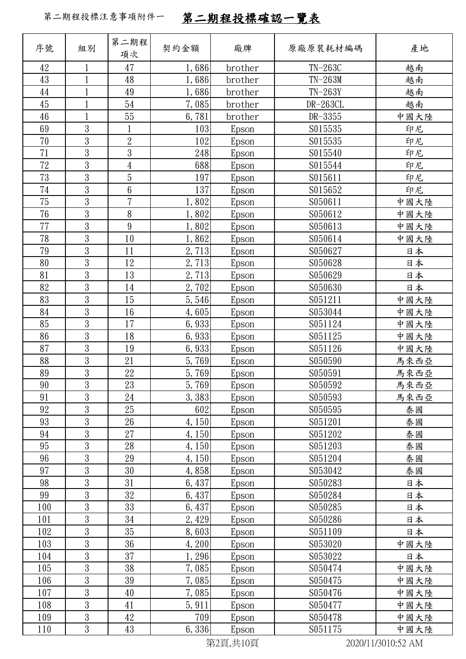| 序號     | 組別             | 第二期程<br>項次      | 契約金額   | 廠牌                | 原廠原裝耗材編碼  | 產地                          |
|--------|----------------|-----------------|--------|-------------------|-----------|-----------------------------|
| 42     | $\mathbf{1}$   | 47              | 1,686  | brother           | $TN-263C$ | 越南                          |
| 43     |                | 48              | 1,686  | brother           | $TN-263M$ | 越南                          |
| 44     | $\mathbf{1}$   | 49              | 1,686  | brother           | $TN-263Y$ | 越南                          |
| 45     | $\mathbf{1}$   | 54              | 7,085  | brother           | DR-263CL  | 越南                          |
| 46     |                | 55              | 6,781  | brother           | DR-3355   | 中國大陸                        |
| 69     | $\overline{3}$ |                 | 103    | Epson             | S015535   | 印尼                          |
| 70     | $\mathfrak{Z}$ | $\overline{2}$  | 102    | Epson             | S015535   | 印尼                          |
| 71     | $\overline{3}$ | $\mathfrak{Z}$  | 248    | Epson             | S015540   | 印尼                          |
| 72     | $\overline{3}$ | $\overline{4}$  | 688    | Epson             | S015544   | 印尼                          |
| 73     | $\overline{3}$ | $\overline{5}$  | 197    | Epson             | S015611   | 印尼                          |
| $74\,$ | 3              | $6\phantom{.}6$ | 137    | Epson             | S015652   | 印尼                          |
| 75     | $\mathfrak{Z}$ | 7               | 1,802  | Epson             | S050611   | 中國大陸                        |
| 76     | $\mathfrak{Z}$ | 8               | 1,802  | Epson             | S050612   | 中國大陸                        |
| 77     | 3              | 9               | 1,802  | Epson             | S050613   | 中國大陸                        |
| 78     | 3              | 10              | 1,862  | Epson             | S050614   | 中國大陸                        |
| 79     | $\overline{3}$ | 11              | 2,713  | Epson             | S050627   | 日本                          |
| 80     | $\overline{3}$ | 12              | 2,713  | Epson             | S050628   | 日本                          |
| 81     | $\overline{3}$ | 13              | 2,713  | Epson             | S050629   | 日本                          |
| 82     | $\overline{3}$ | 14              | 2,702  | Epson             | S050630   | 日本                          |
| 83     | 3              | 15              | 5,546  | Epson             | S051211   | 中國大陸                        |
| 84     | $\overline{3}$ | 16              | 4,605  | Epson             | S053044   | 中國大陸                        |
| 85     | $\mathfrak{Z}$ | 17              | 6,933  | Epson             | S051124   | 中國大陸                        |
| 86     | $\overline{3}$ | 18              | 6,933  | Epson             | S051125   | 中國大陸                        |
| 87     | $\overline{3}$ | 19              | 6,933  | Epson             | S051126   | 中國大陸                        |
| 88     | 3              | 21              | 5,769  | Epson             | S050590   | 馬來西亞                        |
| 89     | $\overline{3}$ | $22\,$          | 5,769  | Epson             | S050591   | 馬來西亞                        |
| 90     | $\overline{3}$ | $23\,$          | 5,769  | Epson             | S050592   | 馬來西亞                        |
| 91     | 3              | 24              | 3,383  | Epson             | S050593   | 馬來西亞                        |
| 92     | $\overline{3}$ | 25              | 602    | Epson             | S050595   | 泰國                          |
| 93     | 3              | 26              | 4,150  | Epson             | S051201   | 泰國                          |
| 94     | $\overline{3}$ | 27              | 4,150  | Epson             | S051202   | 泰國                          |
| 95     | $\mathfrak{Z}$ | 28              | 4, 150 | Epson             | S051203   | 泰國                          |
| 96     | $\mathfrak{Z}$ | 29              | 4,150  | Epson             | S051204   | 泰國                          |
| 97     | $\overline{3}$ | 30              | 4,858  | Epson             | S053042   | 泰國                          |
| 98     | $\overline{3}$ | 31              | 6,437  | Epson             | S050283   | 日本                          |
| 99     | $\overline{3}$ | 32              | 6,437  | Epson             | S050284   | 日本                          |
| 100    | $\overline{3}$ | 33              | 6,437  | Epson             | S050285   | 日本                          |
| 101    | $\overline{3}$ | 34              | 2,429  | Epson             | S050286   | 日本                          |
| 102    | $\overline{3}$ | 35              | 8,603  | Epson             | S051109   | 日本                          |
| 103    | $\mathfrak{Z}$ | 36              | 4,200  | Epson             | S053020   | 中國大陸                        |
| 104    | $\overline{3}$ | 37              | 1,296  | Epson             | S053022   | 日本                          |
| 105    | $\mathfrak{Z}$ | 38              | 7,085  | Epson             | S050474   | 中國大陸                        |
| 106    | $\overline{3}$ | $39\,$          | 7,085  | Epson             | S050475   | 中國大陸                        |
| 107    | $\overline{3}$ | 40              | 7,085  | Epson             | S050476   | 中國大陸                        |
| 108    | 3              | 41              | 5, 911 | Epson             | S050477   | 中國大陸                        |
| 109    | $\mathfrak{Z}$ | 42              | 709    | Epson             | S050478   | 中國大陸                        |
| 110    | $\overline{3}$ | 43              | 6, 336 | Epson<br>*08 出108 | S051175   | 中國大陸<br>$20001111001050111$ |

第2頁,共10頁 2020/11/3010:52 AM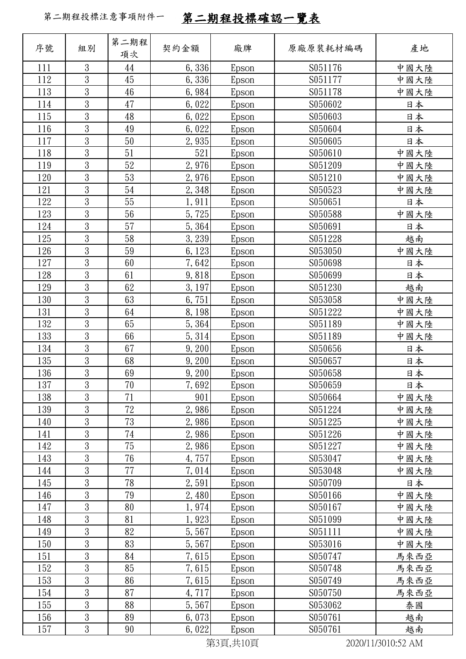| 序號         | 組別                               | 第二期程<br>項次 | 契約金額           | 廠牌                      | 原廠原裝耗材編碼           | 產地         |
|------------|----------------------------------|------------|----------------|-------------------------|--------------------|------------|
| 111        | 3                                | 44         | 6, 336         | Epson                   | S051176            | 中國大陸       |
| 112        | 3                                | 45         | 6,336          | Epson                   | S051177            | 中國大陸       |
| 113        | $\overline{3}$                   | 46         | 6,984          | Epson                   | S051178            | 中國大陸       |
| 114        | $\overline{3}$                   | 47         | 6,022          | Epson                   | S050602            | 日本         |
| 115        | $\overline{3}$                   | 48         | 6,022          | Epson                   | S050603            | 日本         |
| 116        | $\overline{3}$                   | 49         | 6,022          | Epson                   | S050604            | 日本         |
| 117        | 3                                | 50         | 2,935          | Epson                   | S050605            | 日本         |
| 118        | $\overline{3}$                   | 51         | 521            | Epson                   | S050610            | 中國大陸       |
| 119        | $\overline{3}$                   | 52         | 2,976          | Epson                   | S051209            | 中國大陸       |
| 120        | $\overline{3}$                   | 53         | 2,976          | Epson                   | S051210            | 中國大陸       |
| 121        | 3                                | 54         | 2,348          | Epson                   | S050523            | 中國大陸       |
| 122        | 3                                | 55         | 1,911          | Epson                   | S050651            | 日本         |
| 123        | $\overline{3}$                   | 56         | 5,725          | Epson                   | S050588            | 中國大陸       |
| 124        | $\overline{3}$                   | 57         | 5,364          | Epson                   | S050691            | 日本         |
| 125        | $\overline{3}$                   | 58         | 3,239          | Epson                   | S051228            | 越南         |
| 126        | $\overline{3}$                   | 59         | 6,123          | Epson                   | S053050            | 中國大陸       |
| 127        | 3                                | 60         | 7,642          | Epson                   | S050698            | 日本         |
| 128        | $\overline{3}$                   | 61         | 9,818          | Epson                   | S050699            | 日本         |
| 129        | $\overline{3}$                   | 62         | 3,197          | Epson                   | S051230            | 越南         |
| 130        | $\overline{3}$                   | 63         | 6,751          | Epson                   | S053058            | 中國大陸       |
| 131        | $\overline{3}$                   | 64         | 8,198          | Epson                   | S051222            | 中國大陸       |
| 132        | 3                                | 65         | 5,364          | Epson                   | S051189            | 中國大陸       |
| 133        | $\overline{3}$<br>$\overline{3}$ | 66         | 5, 314         | Epson                   | S051189            | 中國大陸       |
| 134        | $\overline{3}$                   | 67         | 9,200          | Epson                   | S050656            | 日本         |
| 135<br>136 | $\overline{3}$                   | 68<br>69   | 9,200          | Epson                   | S050657<br>S050658 | 日本         |
| 137        | $\overline{3}$                   | 70         | 9,200<br>7,692 | Epson                   | S050659            | 日本         |
| 138        | $\overline{3}$                   | 71         | 901            | Epson<br>Epson          | S050664            | 日本<br>中國大陸 |
| 139        | $\overline{3}$                   | 72         | 2,986          | Epson                   | S051224            | 中國大陸       |
| 140        | $\overline{3}$                   | 73         | 2,986          | Epson                   | S051225            | 中國大陸       |
| 141        | $\overline{3}$                   | 74         | 2,986          | Epson                   | S051226            | 中國大陸       |
| 142        | 3                                | 75         | 2,986          | Epson                   | S051227            | 中國大陸       |
| 143        | 3                                | 76         | 4,757          | Epson                   | S053047            | 中國大陸       |
| 144        | $\overline{3}$                   | 77         | 7,014          | Epson                   | S053048            | 中國大陸       |
| 145        | 3                                | 78         | 2,591          | Epson                   | S050709            | 日本         |
| 146        | $\overline{3}$                   | 79         | 2,480          | Epson                   | S050166            | 中國大陸       |
| 147        | $\overline{3}$                   | 80         | 1,974          | Epson                   | S050167            | 中國大陸       |
| 148        | $\overline{3}$                   | 81         | 1,923          | Epson                   | S051099            | 中國大陸       |
| 149        | $\overline{3}$                   | 82         | 5,567          | Epson                   | S051111            | 中國大陸       |
| 150        | 3                                | 83         | 5,567          | Epson                   | S053016            | 中國大陸       |
| 151        | $\overline{3}$                   | 84         | 7,615          | Epson                   | S050747            | 馬來西亞       |
| 152        | $\overline{3}$                   | 85         | 7,615          | Epson                   | S050748            | 馬來西亞       |
| 153        | $\overline{3}$                   | 86         | 7,615          | Epson                   | S050749            | 馬來西亞       |
| 154        | $\overline{3}$                   | 87         | 4,717          | Epson                   | S050750            | 馬來西亞       |
| 155        | 3                                | 88         | 5,567          | Epson                   | S053062            | 泰國         |
| 156        | $\overline{3}$                   | 89         | 6,073          | Epson                   | S050761            | 越南         |
| 157        | $\overline{3}$                   | 90         | 6,022          | Epson<br>$k_{0} = 1.10$ | S050761            | 越南         |

第3頁,共10頁 2020/11/3010:52 AM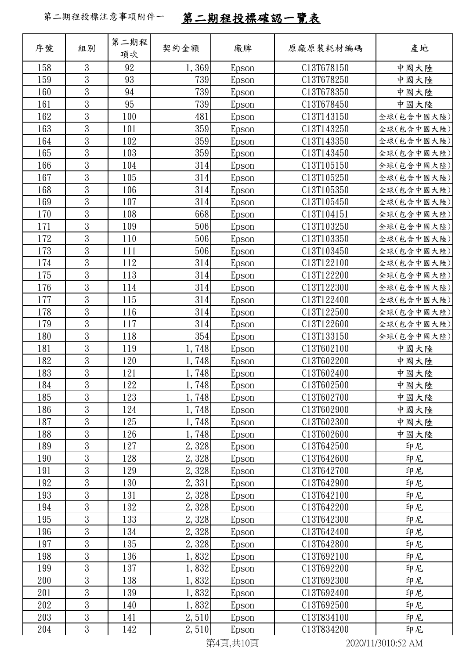| 序號         | 組別                  | 第二期程<br>項次 | 契約金額           | 廠牌             | 原廠原裝耗材編碼                 | 產地           |
|------------|---------------------|------------|----------------|----------------|--------------------------|--------------|
| 158        | 3                   | 92         | 1,369          | Epson          | C13T678150               | 中國大陸         |
| 159        | $\mathfrak{Z}$      | 93         | 739            | Epson          | C13T678250               | 中國大陸         |
| 160        | $\overline{3}$      | 94         | 739            | Epson          | C13T678350               | 中國大陸         |
| 161        | 3                   | 95         | 739            | Epson          | C13T678450               | 中國大陸         |
| 162        | 3                   | 100        | 481            | Epson          | C13T143150               | 全球(包含中國大陸)   |
| 163        | $\mathfrak{Z}$      | 101        | 359            | Epson          | C13T143250               | 全球(包含中國大陸)   |
| 164        | $\mathfrak{Z}$      | 102        | 359            | Epson          | C13T143350               | 全球(包含中國大陸)   |
| 165        | $\overline{3}$      | 103        | 359            | Epson          | C13T143450               | 全球(包含中國大陸)   |
| 166        | 3                   | 104        | 314            | Epson          | C13T105150               | 全球(包含中國大陸)   |
| 167        | $\overline{3}$      | 105        | 314            | Epson          | C13T105250               | 全球(包含中國大陸)   |
| 168        | $\mathfrak{Z}$      | 106        | 314            | Epson          | C13T105350               | 全球(包含中國大陸)   |
| 169        | $\mathfrak{Z}$      | 107        | 314            | Epson          | C13T105450               | 全球(包含中國大陸)   |
| 170        | $\overline{3}$      | 108        | 668            | Epson          | C13T104151               | 全球(包含中國大陸)   |
| 171        | 3                   | 109        | 506            | Epson          | C13T103250               | 全球(包含中國大陸)   |
| 172        | 3                   | 110        | 506            | Epson          | C13T103350               | 全球(包含中國大陸)   |
| 173        | $\mathfrak{Z}$      | 111        | 506            | Epson          | C13T103450               | 全球(包含中國大陸)   |
| 174        | $\mathfrak{Z}$      | 112        | 314            | Epson          | C13T122100               | 全球(包含中國大陸)   |
| 175        | $\overline{3}$      | 113        | 314            | Epson          | C13T122200               | 全球(包含中國大陸)   |
| 176        | 3                   | 114        | 314            | Epson          | C13T122300               | 全球(包含中國大陸)   |
| 177        | $\mathfrak{Z}$      | 115        | 314            | Epson          | C13T122400               | 全球(包含中國大陸)   |
| 178        | 3                   | 116        | 314            | Epson          | C13T122500               | 全球(包含中國大陸)   |
| 179        | $\mathfrak{Z}$      | 117        | 314            | Epson          | C13T122600               | 全球(包含中國大陸)   |
| 180        | $\overline{3}$      | 118        | 354            | Epson          | C13T133150               | 全球(包含中國大陸)   |
| 181        | 3<br>$\overline{3}$ | 119        | 1,748          | Epson          | C13T602100               | 中國大陸         |
| 182        | $\mathfrak{Z}$      | 120        | 1,748          | Epson          | C13T602200               | 中國大陸         |
| 183        | $\overline{3}$      | 121        | 1,748          | Epson          | C13T602400               | 中國大陸         |
| 184        | 3                   | 122        | 1,748          | Epson          | C13T602500               | 中國大陸         |
| 185<br>186 | $\mathfrak{z}$      | 123<br>124 | 1,748          | Epson          | C13T602700<br>C13T602900 | 中國大陸         |
| 187        | 3                   | 125        | 1,748<br>1,748 | Epson<br>Epson | C13T602300               | 中國大陸<br>中國大陸 |
| 188        | $\mathfrak{z}$      | 126        | 1,748          | Epson          | C13T602600               | 中國大陸         |
| 189        | $\overline{3}$      | 127        | 2,328          | Epson          | C13T642500               | 印尼           |
| 190        | $\overline{3}$      | 128        | 2,328          | Epson          | C13T642600               | 印尼           |
| 191        | $\mathfrak{z}$      | 129        | 2,328          | Epson          | C13T642700               | 印尼           |
| 192        | $\mathfrak{Z}$      | 130        | 2,331          | Epson          | C13T642900               | 印尼           |
| 193        | 3                   | 131        | 2,328          | Epson          | C13T642100               | 印尼           |
| 194        | 3                   | 132        | 2,328          | Epson          | C13T642200               | 印尼           |
| 195        | $\sqrt{3}$          | 133        | 2,328          | Epson          | C13T642300               | 印尼           |
| 196        | 3                   | 134        | 2,328          | Epson          | C13T642400               | 印尼           |
| 197        | 3                   | 135        | 2,328          | Epson          | C13T642800               | 印尼           |
| 198        | 3                   | 136        | 1,832          | Epson          | C13T692100               | 印尼           |
| 199        | 3                   | 137        | 1,832          | Epson          | C13T692200               | 印尼           |
| 200        | $\overline{3}$      | 138        | 1,832          | Epson          | C13T692300               | 印尼           |
| 201        | 3                   | 139        | 1,832          | Epson          | C13T692400               | 印尼           |
| 202        | $\mathfrak{Z}$      | 140        | 1,832          | Epson          | C13T692500               | 印尼           |
| 203        | $\mathfrak{z}$      | 141        | 2,510          | Epson          | C13T834100               | 印尼           |
| 204        | $\overline{3}$      | 142        | 2,510          | Epson          | C13T834200               | 印尼           |
|            |                     |            |                |                |                          |              |

第4頁,共10頁 2020/11/3010:52 AM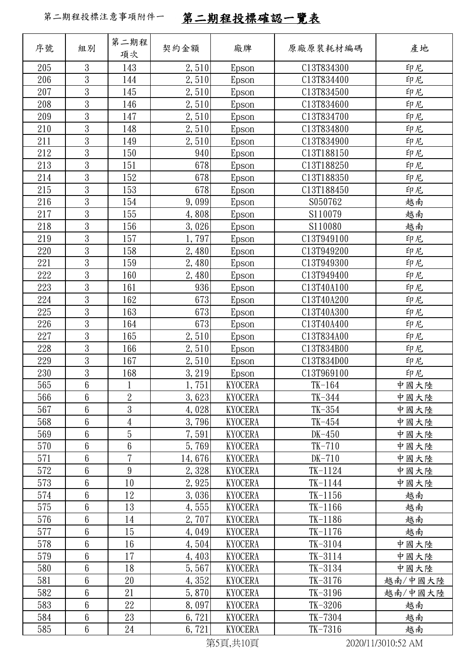| 序號  | 組別              | 第二期程           | 契約金額   | 廠牌             | 原廠原裝耗材編碼    | 產地               |
|-----|-----------------|----------------|--------|----------------|-------------|------------------|
|     |                 | 項次             |        |                |             |                  |
| 205 | 3               | 143            | 2,510  | Epson          | C13T834300  | 印尼               |
| 206 | $\mathfrak{Z}$  | 144            | 2,510  | Epson          | C13T834400  | 印尼               |
| 207 | $\mathfrak{Z}$  | 145            | 2,510  | Epson          | C13T834500  | 印尼               |
| 208 | $\overline{3}$  | 146            | 2,510  | Epson          | C13T834600  | 印尼               |
| 209 | $\overline{3}$  | 147            | 2,510  | Epson          | C13T834700  | 印尼               |
| 210 | 3               | 148            | 2,510  | Epson          | C13T834800  | 印尼               |
| 211 | $\sqrt{3}$      | 149            | 2,510  | Epson          | C13T834900  | 印尼               |
| 212 | 3               | 150            | 940    | Epson          | C13T188150  | 印尼               |
| 213 | 3               | 151            | 678    | Epson          | C13T188250  | 印尼               |
| 214 | $\sqrt{3}$      | 152            | 678    | Epson          | C13T188350  | 印尼               |
| 215 | 3               | 153            | 678    | Epson          | C13T188450  | 印尼               |
| 216 | $\mathfrak{Z}$  | 154            | 9,099  | Epson          | S050762     | 越南               |
| 217 | $\mathfrak{Z}$  | 155            | 4,808  | Epson          | S110079     | 越南               |
| 218 | $\mathfrak{Z}$  | 156            | 3,026  | Epson          | S110080     | 越南               |
| 219 | $\overline{3}$  | 157            | 1,797  | Epson          | C13T949100  | 印尼               |
| 220 | 3               | 158            | 2,480  | Epson          | C13T949200  | 印尼               |
| 221 | $\mathfrak{Z}$  | 159            | 2,480  | Epson          | C13T949300  | 印尼               |
| 222 | $\overline{3}$  | 160            | 2,480  | Epson          | C13T949400  | 印尼               |
| 223 | 3               | 161            | 936    | Epson          | C13T40A100  | 印尼               |
| 224 | $\mathfrak{Z}$  | 162            | 673    | Epson          | C13T40A200  | 印尼               |
| 225 | 3               | 163            | 673    | Epson          | C13T40A300  | 印尼               |
| 226 | $\mathfrak{Z}$  | 164            | 673    | Epson          | C13T40A400  | 印尼               |
| 227 | $\mathfrak{Z}$  | 165            | 2,510  | Epson          | C13T834A00  | 印尼               |
| 228 | 3               | 166            | 2,510  | Epson          | C13T834B00  | 印尼               |
| 229 | $\mathfrak{Z}$  | 167            | 2,510  | Epson          | C13T834D00  | 印尼               |
| 230 | $\mathfrak{Z}$  | 168            | 3,219  | Epson          | C13T969100  | 印尼               |
| 565 | $6\phantom{a}$  |                | 1,751  | <b>KYOCERA</b> | $TK-164$    | 中國大陸             |
| 566 | $6\phantom{.}6$ | $\overline{2}$ | 3,623  | <b>KYOCERA</b> | TK-344      | 中國大陸             |
| 567 | $6\phantom{.}6$ | $\mathfrak{B}$ | 4,028  | <b>KYOCERA</b> | $TK-354$    | 中國大陸             |
| 568 | 6               | 4              | 3,796  | <b>KYOCERA</b> | $TK-454$    | 中國大陸             |
| 569 | $6\phantom{.}6$ | 5              | 7,591  | <b>KYOCERA</b> | $DK-450$    | 中國大陸             |
| 570 | $6\,$           | 6              | 5,769  | <b>KYOCERA</b> | $TK-710$    | 中國大陸             |
| 571 | $6\phantom{a}$  | $\overline{7}$ | 14,676 | <b>KYOCERA</b> | $DK-710$    | 中國大陸             |
| 572 | $6\phantom{1}6$ | 9              | 2,328  | <b>KYOCERA</b> | $TK-1124$   | 中國大陸             |
| 573 | $6\,$           | 10             | 2,925  | <b>KYOCERA</b> | $TK-1144$   | 中國大陸             |
| 574 | $6\phantom{.}6$ | 12             | 3,036  | <b>KYOCERA</b> | $TK-1156$   | 越南               |
| 575 | $6\,$           | 13             | 4,555  | <b>KYOCERA</b> | $TK-1166$   | 越南               |
| 576 | $6\phantom{a}$  | 14             | 2,707  | <b>KYOCERA</b> | $TK-1186$   | 越南               |
| 577 | $6\phantom{1}6$ | 15             | 4,049  | <b>KYOCERA</b> | $TK-1176$   | 越南               |
| 578 | $6\phantom{.}6$ | 16             | 4,504  | <b>KYOCERA</b> | $TK-3104$   | 中國大陸             |
| 579 | $6\phantom{.}6$ | 17             | 4,403  | <b>KYOCERA</b> | $TK-3114$   | 中國大陸             |
| 580 | $6\,$           | 18             | 5,567  | <b>KYOCERA</b> | TK-3134     | 中國大陸             |
| 581 | $6\phantom{a}$  | $20\,$         | 4,352  | <b>KYOCERA</b> | $TK - 3176$ | 越南/中國大陸          |
| 582 | $6\phantom{1}6$ | 21             | 5,870  | <b>KYOCERA</b> | $TK-3196$   | 越南/中國大陸          |
| 583 | $6\,$           | 22             | 8,097  | <b>KYOCERA</b> | TK-3206     | 越南               |
| 584 | $6\phantom{.}6$ | 23             | 6,721  | <b>KYOCERA</b> | TK-7304     | 越南               |
| 585 | $\,6\,$         | 24             | 6,721  | <b>KYOCERA</b> | $TK-7316$   | 越南               |
|     |                 |                |        | ***** 440F     |             | 0.00011100100011 |

第5頁,共10頁 2020/11/3010:52 AM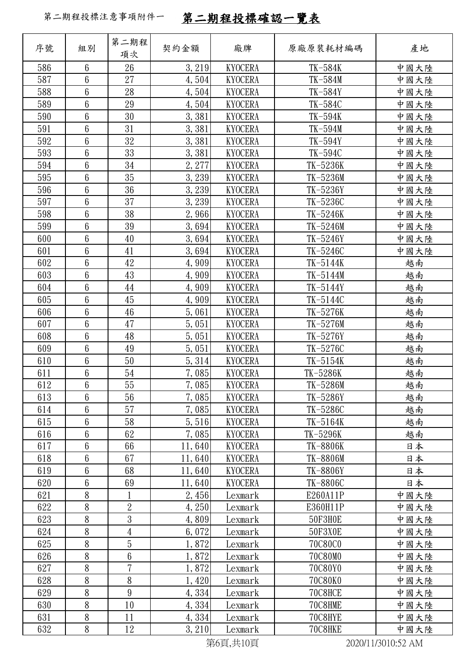| 序號  | 組別               | 第二期程<br>項次      | 契約金額   | 廠牌                        | 原廠原裝耗材編碼       | 產地   |
|-----|------------------|-----------------|--------|---------------------------|----------------|------|
| 586 | $6\phantom{1}$   | 26              | 3, 219 | <b>KYOCERA</b>            | TK-584K        | 中國大陸 |
| 587 | $\boldsymbol{6}$ | 27              | 4,504  | <b>KYOCERA</b>            | TK-584M        | 中國大陸 |
| 588 | 6                | 28              | 4,504  | <b>KYOCERA</b>            | TK-584Y        | 中國大陸 |
| 589 | 6                | 29              | 4,504  | <b>KYOCERA</b>            | TK-584C        | 中國大陸 |
| 590 | 6                | 30              | 3,381  | <b>KYOCERA</b>            | TK-594K        | 中國大陸 |
| 591 | 6                | 31              | 3,381  | <b>KYOCERA</b>            | TK-594M        | 中國大陸 |
| 592 | 6                | 32              | 3,381  | <b>KYOCERA</b>            | $TK-594Y$      | 中國大陸 |
| 593 | 6                | 33              | 3,381  | <b>KYOCERA</b>            | TK-594C        | 中國大陸 |
| 594 | 6                | 34              | 2, 277 | <b>KYOCERA</b>            | TK-5236K       | 中國大陸 |
| 595 | 6                | 35              | 3,239  | <b>KYOCERA</b>            | TK-5236M       | 中國大陸 |
| 596 | 6                | 36              | 3,239  | <b>KYOCERA</b>            | TK-5236Y       | 中國大陸 |
| 597 | 6                | 37              | 3,239  | <b>KYOCERA</b>            | TK-5236C       | 中國大陸 |
| 598 | 6                | 38              | 2,966  | <b>KYOCERA</b>            | TK-5246K       | 中國大陸 |
| 599 | 6                | 39              | 3,694  | <b>KYOCERA</b>            | TK-5246M       | 中國大陸 |
| 600 | 6                | 40              | 3,694  | <b>KYOCERA</b>            | TK-5246Y       | 中國大陸 |
| 601 | 6                | 41              | 3,694  | <b>KYOCERA</b>            | TK-5246C       | 中國大陸 |
| 602 | 6                | 42              | 4,909  | <b>KYOCERA</b>            | TK-5144K       | 越南   |
| 603 | $\boldsymbol{6}$ | 43              | 4,909  | <b>KYOCERA</b>            | TK-5144M       | 越南   |
| 604 | 6                | 44              | 4,909  | <b>KYOCERA</b>            | TK-5144Y       | 越南   |
| 605 | 6                | 45              | 4,909  | <b>KYOCERA</b>            | TK-5144C       | 越南   |
| 606 | 6                | 46              | 5,061  | <b>KYOCERA</b>            | TK-5276K       | 越南   |
| 607 | 6                | 47              | 5,051  | <b>KYOCERA</b>            | TK-5276M       | 越南   |
| 608 | 6                | 48              | 5,051  | <b>KYOCERA</b>            | TK-5276Y       | 越南   |
| 609 | 6                | 49              | 5,051  | <b>KYOCERA</b>            | TK-5276C       | 越南   |
| 610 | 6                | 50              | 5, 314 | <b>KYOCERA</b>            | TK-5154K       | 越南   |
| 611 | 6                | 54              | 7,085  | <b>KYOCERA</b>            | TK-5286K       | 越南   |
| 612 | $6\phantom{a}$   | 55              | 7,085  | <b>KYOCERA</b>            | TK-5286M       | 越南   |
| 613 | 6                | 56              | 7,085  | <b>KYOCERA</b>            | TK-5286Y       | 越南   |
| 614 | 6                | 57              | 7,085  | <b>KYOCERA</b>            | TK-5286C       | 越南   |
| 615 | 6                | 58              | 5,516  | <b>KYOCERA</b>            | TK-5164K       | 越南   |
| 616 | 6                | 62              | 7,085  | <b>KYOCERA</b>            | TK-5296K       | 越南   |
| 617 | 6                | 66              | 11,640 | <b>KYOCERA</b>            | TK-8806K       | 日本   |
| 618 | 6                | 67              | 11,640 | <b>KYOCERA</b>            | TK-8806M       | 日本   |
| 619 | 6                | 68              | 11,640 | <b>KYOCERA</b>            | TK-8806Y       | 日本   |
| 620 | 6                | 69              | 11,640 | <b>KYOCERA</b>            | TK-8806C       | 日本   |
| 621 | 8                | $\mathbf{1}$    | 2,456  | Lexmark                   | E260A11P       | 中國大陸 |
| 622 | 8                | $\overline{2}$  | 4, 250 | Lexmark                   | E360H11P       | 中國大陸 |
| 623 | 8                | 3               | 4,809  | Lexmark                   | <b>50F3H0E</b> | 中國大陸 |
| 624 | 8                | 4               | 6,072  | Lexmark                   | 50F3X0E        | 中國大陸 |
| 625 | 8                | 5               | 1,872  | Lexmark                   | 70C80C0        | 中國大陸 |
| 626 | 8                | $6\phantom{.}6$ | 1,872  | Lexmark                   | 70C80M0        | 中國大陸 |
| 627 | 8                | 7               | 1,872  | Lexmark                   | 70C80Y0        | 中國大陸 |
| 628 | 8                | 8               | 1,420  | Lexmark                   | 70C80K0        | 中國大陸 |
| 629 | 8                | 9               | 4,334  | Lexmark                   | 70C8HCE        | 中國大陸 |
| 630 | 8                | 10              | 4,334  | Lexmark                   | 70C8HME        | 中國大陸 |
| 631 | 8                | 11              | 4,334  | Lexmark                   | 70C8HYE        | 中國大陸 |
| 632 | 8                | 12              | 3, 210 | Lexmark<br>$\overline{a}$ | 70C8HKE        | 中國大陸 |

第6頁,共10頁 2020/11/3010:52 AM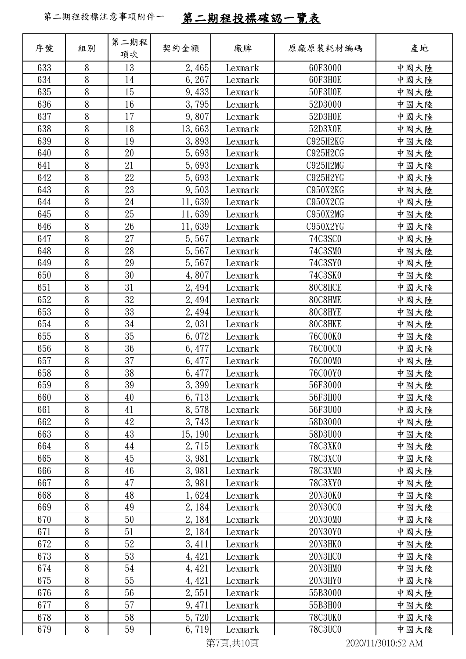| 序號  | 組別     | 第二期程<br>項次 | 契約金額    | 廠牌       | 原廠原裝耗材編碼        | 產地                 |
|-----|--------|------------|---------|----------|-----------------|--------------------|
| 633 | 8      | 13         | 2,465   | Lexmark  | 60F3000         | 中國大陸               |
| 634 | 8      | 14         | 6,267   | Lexmark  | 60F3H0E         | 中國大陸               |
| 635 | $8\,$  | 15         | 9,433   | Lexmark  | 50F3U0E         | 中國大陸               |
| 636 | 8      | 16         | 3,795   | Lexmark  | 52D3000         | 中國大陸               |
| 637 | 8      | 17         | 9,807   | Lexmark  | 52D3H0E         | 中國大陸               |
| 638 | $8\,$  | 18         | 13,663  | Lexmark  | 52D3X0E         | 中國大陸               |
| 639 | 8      | 19         | 3,893   | Lexmark  | <b>C925H2KG</b> | 中國大陸               |
| 640 | 8      | 20         | 5,693   | Lexmark  | C925H2CG        | 中國大陸               |
| 641 | $8\,$  | 21         | 5,693   | Lexmark  | C925H2MG        | 中國大陸               |
| 642 | 8      | 22         | 5,693   | Lexmark  | C925H2YG        | 中國大陸               |
| 643 | 8      | 23         | 9,503   | Lexmark  | C950X2KG        | 中國大陸               |
| 644 | 8      | 24         | 11,639  | Lexmark  | C950X2CG        | 中國大陸               |
| 645 | $8\,$  | 25         | 11,639  | Lexmark  | C950X2MG        | 中國大陸               |
| 646 | 8      | 26         | 11,639  | Lexmark  | C950X2YG        | 中國大陸               |
| 647 | 8      | 27         | 5,567   | Lexmark  | 74C3SC0         | 中國大陸               |
| 648 | $8\,$  | 28         | 5,567   | Lexmark  | 74C3SM0         | 中國大陸               |
| 649 | 8      | 29         | 5,567   | Lexmark  | 74C3SY0         | 中國大陸               |
| 650 | 8      | 30         | 4,807   | Lexmark  | 74C3SK0         | 中國大陸               |
| 651 | 8      | 31         | 2,494   | Lexmark  | 80C8HCE         | 中國大陸               |
| 652 | 8      | 32         | 2,494   | Lexmark  | 80C8HME         | 中國大陸               |
| 653 | 8      | 33         | 2,494   | Lexmark  | 80C8HYE         | 中國大陸               |
| 654 | 8      | 34         | 2,031   | Lexmark  | 80C8HKE         | 中國大陸               |
| 655 | $8\,$  | 35         | 6,072   | Lexmark  | 76C00K0         | 中國大陸               |
| 656 | 8      | 36         | 6,477   | Lexmark  | <b>76C00C0</b>  | 中國大陸               |
| 657 | 8      | 37         | 6, 477  | Lexmark  | 76C00M0         | 中國大陸               |
| 658 | 8      | 38         | 6,477   | Lexmark  | 76C00Y0         | 中國大陸               |
| 659 | 8      | 39         | 3,399   | Lexmark  | 56F3000         | 中國大陸               |
| 660 | 8      | 40         | 6, 713  | Lexmark  | 56F3H00         | 中國大陸               |
| 661 | 8      | 41         | 8,578   | Lexmark  | 56F3U00         | 中國大陸               |
| 662 | 8      | 42         | 3,743   | Lexmark  | 58D3000         | 中國大陸               |
| 663 | $\, 8$ | 43         | 15, 190 | Lexmark  | 58D3U00         | 中國大陸               |
| 664 | 8      | 44         | 2,715   | Lexmark  | <b>78C3XK0</b>  | 中國大陸               |
| 665 | 8      | 45         | 3,981   | Lexmark  | <b>78C3XC0</b>  | 中國大陸               |
| 666 | 8      | 46         | 3,981   | Lexmark  | 78C3XM0         | 中國大陸               |
| 667 | 8      | 47         | 3,981   | Lexmark  | 78C3XY0         | 中國大陸               |
| 668 | 8      | 48         | 1,624   | Lexmark  | 20N30K0         | 中國大陸               |
| 669 | 8      | 49         | 2,184   | Lexmark  | 20N30C0         | 中國大陸               |
| 670 | 8      | 50         | 2,184   | Lexmark  | 20N30M0         | 中國大陸               |
| 671 | 8      | 51         | 2, 184  | Lexmark  | 20N30Y0         | 中國大陸               |
| 672 | 8      | 52         | 3,411   | Lexmark  | 20N3HK0         | 中國大陸               |
| 673 | 8      | 53         | 4,421   | Lexmark  | 20N3HC0         | 中國大陸               |
| 674 | $8\,$  | 54         | 4,421   | Lexmark  | 20N3HM0         | 中國大陸               |
| 675 | 8      | 55         | 4,421   | Lexmark  | 20N3HY0         | 中國大陸               |
| 676 | 8      | 56         | 2,551   | Lexmark  | 55B3000         | 中國大陸               |
| 677 | 8      | 57         | 9,471   | Lexmark  | 55B3H00         | 中國大陸               |
| 678 | 8      | 58         | 5,720   | Lexmark  | 78C3UK0         | 中國大陸               |
| 679 | $8\,$  | 59         | 6,719   | Lexmark  | <b>78C3UC0</b>  | 中國大陸               |
|     |        |            |         | 第7頁,共10頁 |                 | 2020/11/3010:52 AM |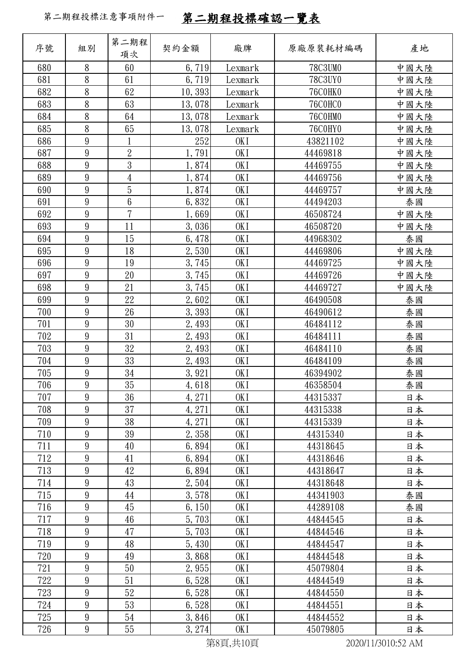| 序號         | 組別     | 第二期程<br>項次      | 契約金額           | 廠牌              | 原廠原裝耗材編碼             | 產地       |
|------------|--------|-----------------|----------------|-----------------|----------------------|----------|
| 680        | 8      | 60              | 6,719          | Lexmark         | 78C3UM0              | 中國大陸     |
| 681        | 8      | 61              | 6,719          | Lexmark         | 78C3UY0              | 中國大陸     |
| 682        | 8      | 62              | 10, 393        | Lexmark         | <b>76C0HK0</b>       | 中國大陸     |
| 683        | $8\,$  | 63              | 13,078         | Lexmark         | 76C0HC0              | 中國大陸     |
| 684        | 8      | 64              | 13,078         | Lexmark         | 76C0HM0              | 中國大陸     |
| 685        | 8      | 65              | 13,078         | Lexmark         | <b>76C0HY0</b>       | 中國大陸     |
| 686        | 9      | 1               | 252            | OK I            | 43821102             | 中國大陸     |
| 687        | 9      | $\overline{2}$  | 1,791          | OK <sub>I</sub> | 44469818             | 中國大陸     |
| 688        | 9      | $\mathfrak{Z}$  | 1,874          | OK <sub>I</sub> | 44469755             | 中國大陸     |
| 689        | 9      | 4               | 1,874          | OK I            | 44469756             | 中國大陸     |
| 690        | 9      | $\overline{5}$  | 1,874          | OK I            | 44469757             | 中國大陸     |
| 691        | 9      | $6\phantom{.}6$ | 6,832          | OK I            | 44494203             | 泰國       |
| 692        | 9      | $\overline{7}$  | 1,669          | OK <sub>I</sub> | 46508724             | 中國大陸     |
| 693        | 9      | 11              | 3,036          | OK <sub>I</sub> | 46508720             | 中國大陸     |
| 694        | 9      | 15              | 6,478          | OK I            | 44968302             | 泰國       |
| 695        | 9      | 18              | 2,530          | OKI             | 44469806             | 中國大陸     |
| 696        | 9      | 19              | 3,745          | OK I            | 44469725             | 中國大陸     |
| 697        | 9      | 20              | 3,745          | OK <sub>I</sub> | 44469726             | 中國大陸     |
| 698        | 9      | 21              | 3,745          | OK I            | 44469727             | 中國大陸     |
| 699        | 9      | 22              | 2,602          | OK I            | 46490508             | 泰國       |
| 700        | 9      | 26              | 3,393          | OK I            | 46490612             | 泰國       |
| 701        | 9      | 30              | 2,493          | OK <sub>I</sub> | 46484112             | 泰國       |
| 702        | 9      | 31              | 2,493          | OK <sub>I</sub> | 46484111             | 泰國       |
| 703        | 9      | 32              | 2,493          | OK I            | 46484110             | 泰國       |
| 704        | 9      | 33              | 2,493          | OK I            | 46484109             | 泰國       |
| 705        | 9      | 34              | 3,921          | OK I            | 46394902             | 泰國       |
| 706        | 9      | 35              | 4,618          | OKI             | 46358504             | 泰國       |
| 707        | 9      | 36              | 4, 271         | OK I            | 44315337             | 日本       |
| 708        | 9      | 37              | 4, 271         | OK I            | 44315338             | 日本       |
| 709        | 9      | 38              | 4, 271         | OK I            | 44315339             | 日本       |
| 710        | 9      | 39              | 2,358          | OK I            | 44315340             | 日本       |
| 711        | 9      | 40              | 6,894          | OK I            | 44318645             | 日本       |
| 712        | 9      | 41              | 6,894          | OK I            | 44318646             | 日本       |
| 713        | 9      | 42              | 6,894          | OK I            | 44318647             | 日本       |
| 714        | 9      | 43              | 2,504          | OK I            | 44318648             | 日本       |
| 715        | 9<br>9 | 44<br>45        | 3,578          | OK I            | 44341903             | 泰國       |
| 716<br>717 | 9      | 46              | 6, 150         | OK I<br>OKI     | 44289108<br>44844545 | 泰國<br>日本 |
|            | 9      |                 | 5,703          |                 |                      |          |
| 718        | 9      | 47              | 5,703<br>5,430 | OK I            | 44844546             | 日本       |
| 719<br>720 | 9      | 48<br>49        | 3,868          | OK I<br>OK I    | 44844547<br>44844548 | 日本<br>日本 |
| 721        | 9      | 50              | 2,955          | OK I            | 45079804             |          |
| 722        | 9      | 51              | 6,528          | OKI             | 44844549             | 日本<br>日本 |
| 723        | 9      | 52              | 6,528          | OK I            | 44844550             | 日本       |
| 724        | 9      | 53              | 6,528          | OK I            | 44844551             | 日本       |
| 725        | 9      | 54              | 3,846          | OK I            | 44844552             | 日本       |
| 726        | 9      | 55              | 3, 274         | OK I            | 45079805             |          |
|            |        |                 |                |                 |                      | 日本       |

第8頁,共10頁 2020/11/3010:52 AM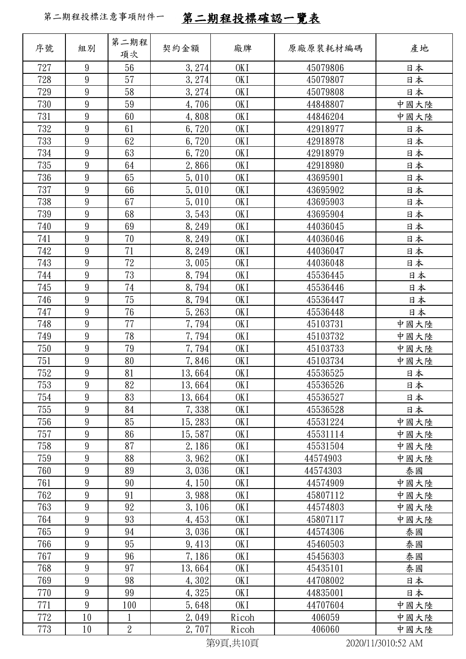| 序號         | 組別                                 | 第二期程<br>項次     | 契約金額           | 廠牌                                  | 原廠原裝耗材編碼             | 產地         |
|------------|------------------------------------|----------------|----------------|-------------------------------------|----------------------|------------|
| 727        | 9                                  | 56             | 3, 274         | OK <sub>I</sub>                     | 45079806             | 日本         |
| 728        | 9                                  | 57             | 3,274          | OK <sub>I</sub>                     | 45079807             | 日本         |
| 729        | $\boldsymbol{9}$                   | 58             | 3, 274         | OK I                                | 45079808             | 日本         |
| 730        | $\overline{9}$                     | 59             | 4,706          | OK <sub>I</sub>                     | 44848807             | 中國大陸       |
| 731        | 9                                  | 60             | 4,808          | OK I                                | 44846204             | 中國大陸       |
| 732        | $\boldsymbol{9}$                   | 61             | 6,720          | OK I                                | 42918977             | 日本         |
| 733        | 9                                  | 62             | 6,720          | OK <sub>I</sub>                     | 42918978             | 日本         |
| 734        | 9                                  | 63             | 6,720          | OK I                                | 42918979             | 日本         |
| 735        | $\overline{9}$                     | 64             | 2,866          | OK <sub>I</sub>                     | 42918980             | 日本         |
| 736        | 9                                  | 65             | 5,010          | OK I                                | 43695901             | 日本         |
| 737        | 9                                  | 66             | 5,010          | OK <sub>I</sub>                     | 43695902             | 日本         |
| 738        | 9                                  | 67             | 5,010          | OK <sub>I</sub>                     | 43695903             | 日本         |
| 739        | $\boldsymbol{9}$                   | 68             | 3,543          | OK I                                | 43695904             | 日本         |
| 740        | $\overline{9}$                     | 69             | 8, 249         | OK <sub>I</sub>                     | 44036045             | 日本         |
| 741        | 9                                  | 70             | 8,249          | OK I                                | 44036046             | 日本         |
| 742        | $9\phantom{.0}$                    | 71             | 8, 249         | OK <sub>I</sub>                     | 44036047             | 日本         |
| 743        | $\boldsymbol{9}$                   | 72             | 3,005          | OK <sub>I</sub>                     | 44036048             | 日本         |
| 744        | $\boldsymbol{9}$                   | 73             | 8,794          | OK <sub>I</sub>                     | 45536445             | 日本         |
| 745        | $\boldsymbol{9}$                   | $74\,$         | 8,794          | OK <sub>I</sub>                     | 45536446             | 日本         |
| 746        | $\overline{9}$                     | 75             | 8,794          | OK I                                | 45536447             | 日本         |
| 747        | $\boldsymbol{9}$                   | 76             | 5,263          | OK <sub>I</sub>                     | 45536448             | 日本         |
| 748        | 9                                  | 77             | 7,794          | OK <sub>I</sub>                     | 45103731             | 中國大陸       |
| 749<br>750 | $\boldsymbol{9}$<br>$\overline{9}$ | 78<br>79       | 7,794<br>7,794 | OK I<br>OK <sub>I</sub>             | 45103732<br>45103733 | 中國大陸       |
| 751        | $\overline{9}$                     | 80             | 7,846          | OK I                                | 45103734             | 中國大陸       |
| 752        | $9\phantom{.0}$                    | 81             | 13,664         | OK <sub>I</sub>                     | 45536525             | 中國大陸<br>日本 |
| 753        | $\boldsymbol{9}$                   | 82             | 13,664         | OK I                                | 45536526             | 日本         |
| 754        | 9                                  | 83             | 13,664         | OK I                                | 45536527             | 日本         |
| 755        | $9\phantom{.0}$                    | 84             | 7,338          | OK <sub>I</sub>                     | 45536528             | 日本         |
| 756        | 9                                  | 85             | 15, 283        | OK I                                | 45531224             | 中國大陸       |
| 757        | $\boldsymbol{9}$                   | 86             | 15,587         | OK I                                | 45531114             | 中國大陸       |
| 758        | 9                                  | 87             | 2,186          | OK <sub>I</sub>                     | 45531504             | 中國大陸       |
| 759        | 9                                  | 88             | 3,962          | OK I                                | 44574903             | 中國大陸       |
| 760        | $\boldsymbol{9}$                   | 89             | 3,036          | OK <sub>I</sub>                     | 44574303             | 泰國         |
| 761        | 9                                  | 90             | 4,150          | OK I                                | 44574909             | 中國大陸       |
| 762        | $\boldsymbol{9}$                   | 91             | 3,988          | OK <sub>I</sub>                     | 45807112             | 中國大陸       |
| 763        | 9                                  | 92             | 3, 106         | OK <sub>I</sub>                     | 44574803             | 中國大陸       |
| 764        | $9\phantom{.0}$                    | 93             | 4,453          | OK I                                | 45807117             | 中國大陸       |
| 765        | $\boldsymbol{9}$                   | 94             | 3,036          | OK <sub>I</sub>                     | 44574306             | 泰國         |
| 766        | 9                                  | 95             | 9,413          | OK I                                | 45460503             | 泰國         |
| 767        | $\boldsymbol{9}$                   | 96             | 7,186          | OK I                                | 45456303             | 泰國         |
| 768        | 9                                  | 97             | 13,664         | OK I                                | 45435101             | 泰國         |
| 769        | $\boldsymbol{9}$                   | 98             | 4,302          | OK I                                | 44708002             | 日本         |
| 770        | $9\phantom{.0}$                    | 99             | 4,325          | OK <sub>I</sub>                     | 44835001             | 日本         |
| 771        | 9                                  | 100            | 5,648          | OK I                                | 44707604             | 中國大陸       |
| 772        | 10                                 | $\mathbf{1}$   | 2,049          | Ricoh                               | 406059               | 中國大陸       |
| 773        | 10                                 | $\overline{2}$ | 2,707          | Ricoh<br>$\forall x \in \mathbb{R}$ | 406060               | 中國大陸       |

第9頁,共10頁 2020/11/3010:52 AM